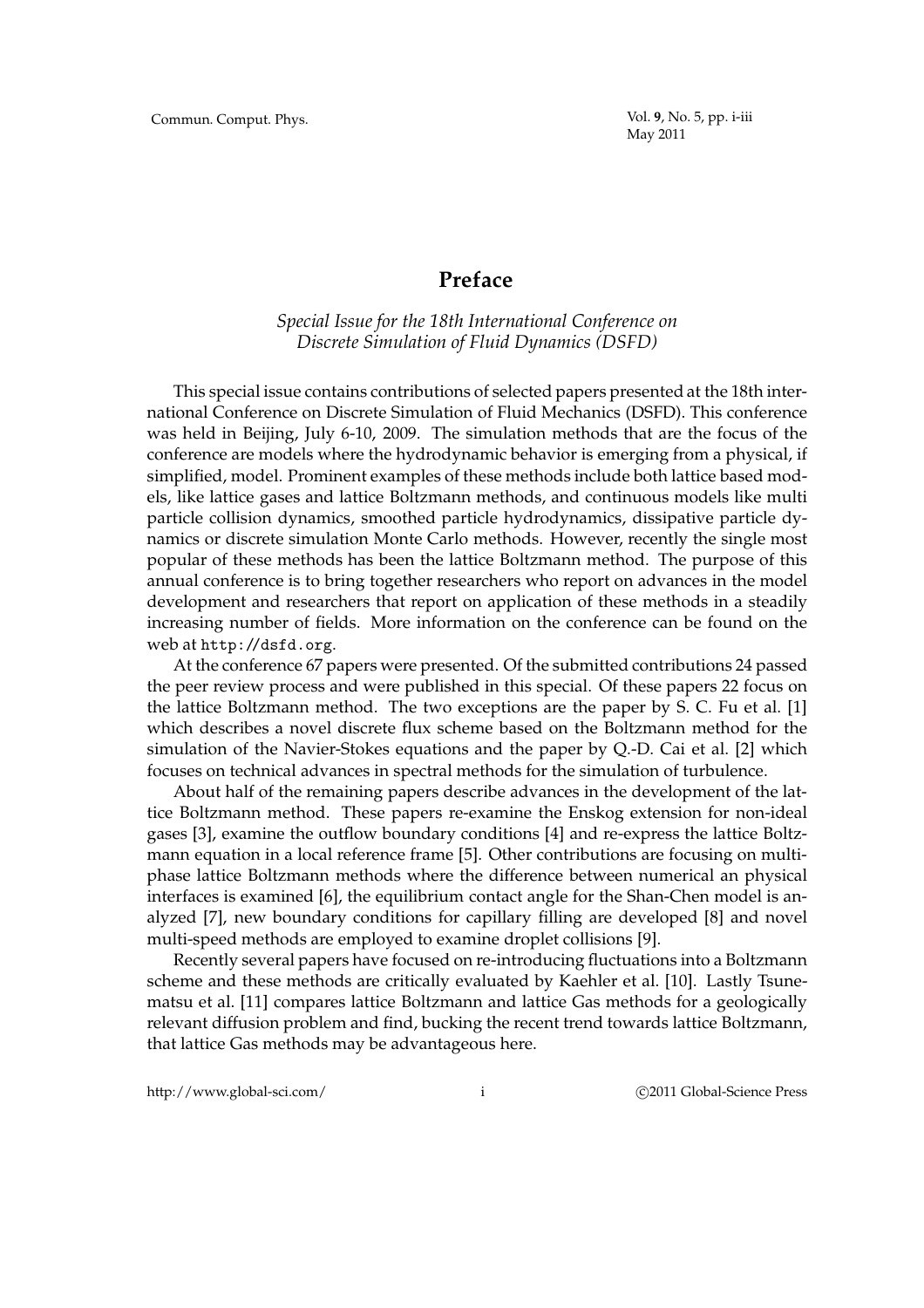## **Preface**

*Special Issue for the 18th International Conference on Discrete Simulation of Fluid Dynamics (DSFD)*

This special issue contains contributions of selected papers presented at the 18th international Conference on Discrete Simulation of Fluid Mechanics (DSFD). This conference was held in Beijing, July 6-10, 2009. The simulation methods that are the focus of the conference are models where the hydrodynamic behavior is emerging from a physical, if simplified, model. Prominent examples of these methods include both lattice based models, like lattice gases and lattice Boltzmann methods, and continuous models like multi particle collision dynamics, smoothed particle hydrodynamics, dissipative particle dynamics or discrete simulation Monte Carlo methods. However, recently the single most popular of these methods has been the lattice Boltzmann method. The purpose of this annual conference is to bring together researchers who report on advances in the model development and researchers that report on application of these methods in a steadily increasing number of fields. More information on the conference can be found on the web at http://dsfd.org.

At the conference 67 papers were presented. Of the submitted contributions 24 passed the peer review process and were published in this special. Of these papers 22 focus on the lattice Boltzmann method. The two exceptions are the paper by S. C. Fu et al. [1] which describes a novel discrete flux scheme based on the Boltzmann method for the simulation of the Navier-Stokes equations and the paper by Q.-D. Cai et al. [2] which focuses on technical advances in spectral methods for the simulation of turbulence.

About half of the remaining papers describe advances in the development of the lattice Boltzmann method. These papers re-examine the Enskog extension for non-ideal gases [3], examine the outflow boundary conditions [4] and re-express the lattice Boltzmann equation in a local reference frame [5]. Other contributions are focusing on multiphase lattice Boltzmann methods where the difference between numerical an physical interfaces is examined [6], the equilibrium contact angle for the Shan-Chen model is analyzed [7], new boundary conditions for capillary filling are developed [8] and novel multi-speed methods are employed to examine droplet collisions [9].

Recently several papers have focused on re-introducing fluctuations into a Boltzmann scheme and these methods are critically evaluated by Kaehler et al. [10]. Lastly Tsunematsu et al. [11] compares lattice Boltzmann and lattice Gas methods for a geologically relevant diffusion problem and find, bucking the recent trend towards lattice Boltzmann, that lattice Gas methods may be advantageous here.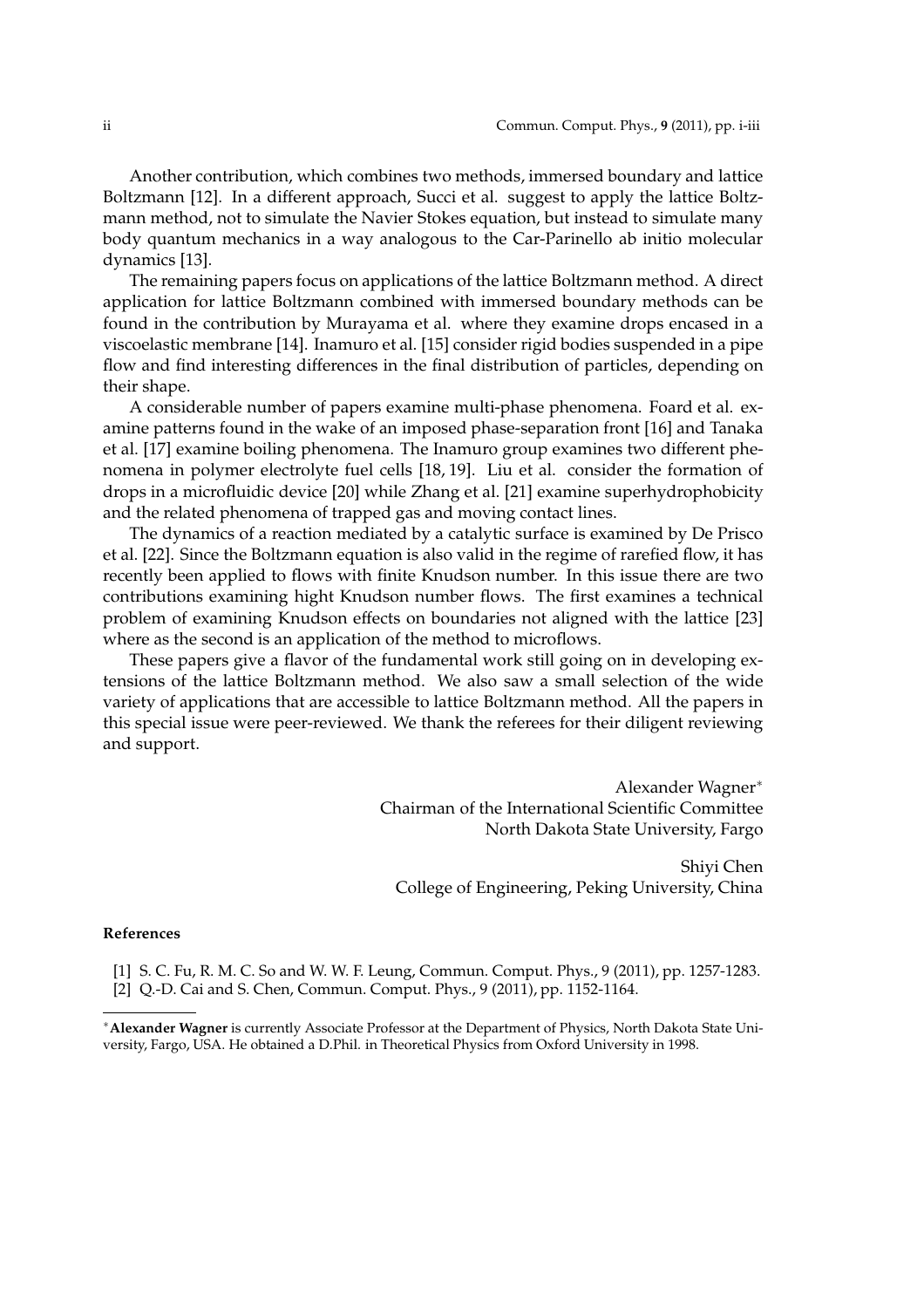Another contribution, which combines two methods, immersed boundary and lattice Boltzmann [12]. In a different approach, Succi et al. suggest to apply the lattice Boltzmann method, not to simulate the Navier Stokes equation, but instead to simulate many body quantum mechanics in a way analogous to the Car-Parinello ab initio molecular dynamics [13].

The remaining papers focus on applications of the lattice Boltzmann method. A direct application for lattice Boltzmann combined with immersed boundary methods can be found in the contribution by Murayama et al. where they examine drops encased in a viscoelastic membrane [14]. Inamuro et al. [15] consider rigid bodies suspended in a pipe flow and find interesting differences in the final distribution of particles, depending on their shape.

A considerable number of papers examine multi-phase phenomena. Foard et al. examine patterns found in the wake of an imposed phase-separation front [16] and Tanaka et al. [17] examine boiling phenomena. The Inamuro group examines two different phenomena in polymer electrolyte fuel cells [18, 19]. Liu et al. consider the formation of drops in a microfluidic device [20] while Zhang et al. [21] examine superhydrophobicity and the related phenomena of trapped gas and moving contact lines.

The dynamics of a reaction mediated by a catalytic surface is examined by De Prisco et al. [22]. Since the Boltzmann equation is also valid in the regime of rarefied flow, it has recently been applied to flows with finite Knudson number. In this issue there are two contributions examining hight Knudson number flows. The first examines a technical problem of examining Knudson effects on boundaries not aligned with the lattice [23] where as the second is an application of the method to microflows.

These papers give a flavor of the fundamental work still going on in developing extensions of the lattice Boltzmann method. We also saw a small selection of the wide variety of applications that are accessible to lattice Boltzmann method. All the papers in this special issue were peer-reviewed. We thank the referees for their diligent reviewing and support.

> Alexander Wagner<sup>∗</sup> Chairman of the International Scientific Committee North Dakota State University, Fargo

Shiyi Chen College of Engineering, Peking University, China

## **References**

[1] S. C. Fu, R. M. C. So and W. W. F. Leung, Commun. Comput. Phys., 9 (2011), pp. 1257-1283. [2] Q.-D. Cai and S. Chen, Commun. Comput. Phys., 9 (2011), pp. 1152-1164.

<sup>∗</sup>**Alexander Wagner** is currently Associate Professor at the Department of Physics, North Dakota State University, Fargo, USA. He obtained a D.Phil. in Theoretical Physics from Oxford University in 1998.